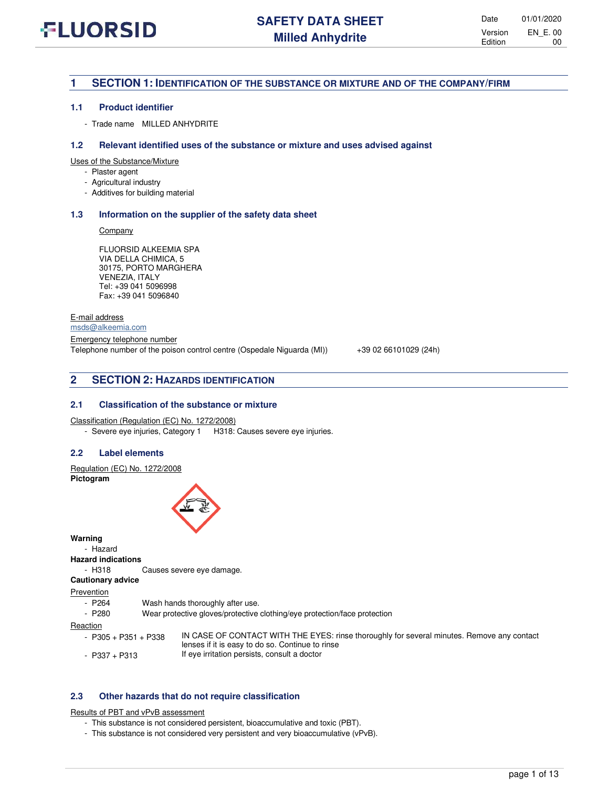## **1 SECTION 1: IDENTIFICATION OF THE SUBSTANCE OR MIXTURE AND OF THE COMPANY/FIRM**

#### **1.1 Product identifier**

- Trade name MILLED ANHYDRITE

#### **1.2 Relevant identified uses of the substance or mixture and uses advised against**

Uses of the Substance/Mixture

- Plaster agent
- Agricultural industry
- Additives for building material

#### **1.3 Information on the supplier of the safety data sheet**

**Company** 

FLUORSID ALKEEMIA SPA VIA DELLA CHIMICA, 5 30175, PORTO MARGHERA VENEZIA, ITALY Tel: +39 041 5096998 Fax: +39 041 5096840

E-mail address

[msds@alkeemia.com](mailto:msds@alkeemia.com)

Emergency telephone number Telephone number of the poison control centre (Ospedale Niguarda (MI)) +39 02 66101029 (24h)

## **2 SECTION 2: HAZARDS IDENTIFICATION**

### **2.1 Classification of the substance or mixture**

Classification (Regulation (EC) No. 1272/2008)

- Severe eye injuries, Category 1 H318: Causes severe eye injuries.

#### **2.2 Label elements**

Regulation (EC) No. 1272/2008

**Pictogram** 



**Warning** 

- Hazard

**Hazard indications**

- H318 Causes severe eye damage.

**Cautionary advice** 

**Prevention** 

- P264 Wash hands thoroughly after use.<br>- P280 Wear protective gloves/protective
- Wear protective gloves/protective clothing/eye protection/face protection

Reaction

- 
- 
- P305 + P351 + P338 IN CASE OF CONTACT WITH THE EYES: rinse thoroughly for several minutes. Remove any contact lenses if it is easy to do so. Continue to rinse - P337 + P313 If eye irritation persists, consult a doctor

### **2.3 Other hazards that do not require classification**

Results of PBT and vPvB assessment

- This substance is not considered persistent, bioaccumulative and toxic (PBT).
- This substance is not considered very persistent and very bioaccumulative (vPvB).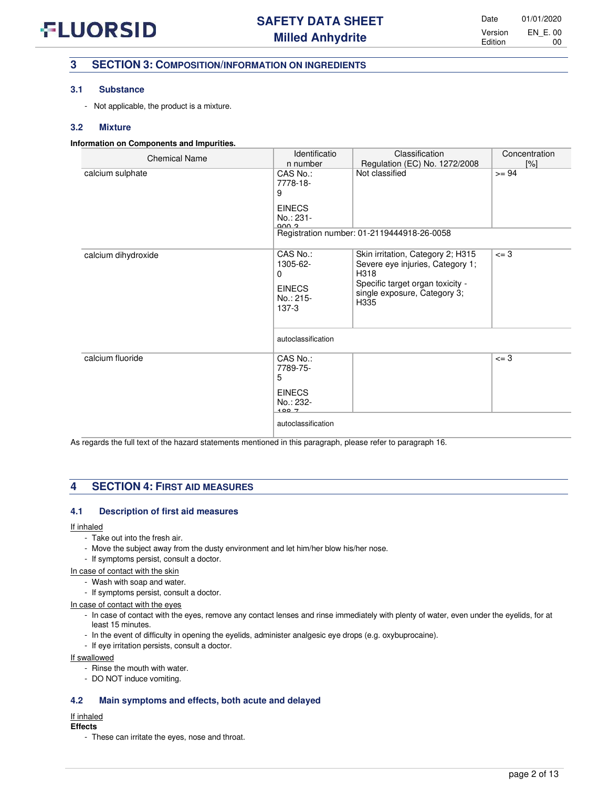## **3 SECTION 3: COMPOSITION/INFORMATION ON INGREDIENTS**

## **3.1 Substance**

- Not applicable, the product is a mixture.

## **3.2 Mixture**

## **Information on Components and Impurities.**

| <b>Chemical Name</b> | Identificatio                                                               | Classification                                                                                                                                            | Concentration |
|----------------------|-----------------------------------------------------------------------------|-----------------------------------------------------------------------------------------------------------------------------------------------------------|---------------|
|                      | n number                                                                    | Regulation (EC) No. 1272/2008                                                                                                                             | [%]           |
| calcium sulphate     | CAS No.:<br>7778-18-<br>9<br><b>EINECS</b><br>No.: 231-<br>ann a            | Not classified                                                                                                                                            | $>= 94$       |
|                      |                                                                             | Registration number: 01-2119444918-26-0058                                                                                                                |               |
| calcium dihydroxide  | CAS No.:<br>1305-62-<br>$\Omega$<br><b>EINECS</b><br>No.: 215-<br>$137 - 3$ | Skin irritation, Category 2; H315<br>Severe eye injuries, Category 1;<br>H318<br>Specific target organ toxicity -<br>single exposure, Category 3;<br>H335 | $\leq -3$     |
|                      | autoclassification                                                          |                                                                                                                                                           |               |
| calcium fluoride     | CAS No.:<br>7789-75-<br>5<br><b>EINECS</b><br>No.: 232-<br>100.7            |                                                                                                                                                           | $= 3$         |
|                      | autoclassification                                                          |                                                                                                                                                           |               |

As regards the full text of the hazard statements mentioned in this paragraph, please refer to paragraph 16.

## **4 SECTION 4: FIRST AID MEASURES**

## **4.1 Description of first aid measures**

### If inhaled

- Take out into the fresh air.
- Move the subject away from the dusty environment and let him/her blow his/her nose.
- If symptoms persist, consult a doctor.
- In case of contact with the skin
	- Wash with soap and water.
	- If symptoms persist, consult a doctor.

### In case of contact with the eyes

- In case of contact with the eyes, remove any contact lenses and rinse immediately with plenty of water, even under the eyelids, for at least 15 minutes.
- In the event of difficulty in opening the eyelids, administer analgesic eye drops (e.g. oxybuprocaine).
- If eye irritation persists, consult a doctor.

### If swallowed

- Rinse the mouth with water.
- DO NOT induce vomiting.

## **4.2 Main symptoms and effects, both acute and delayed**

#### If inhaled

#### **Effects**

- These can irritate the eyes, nose and throat.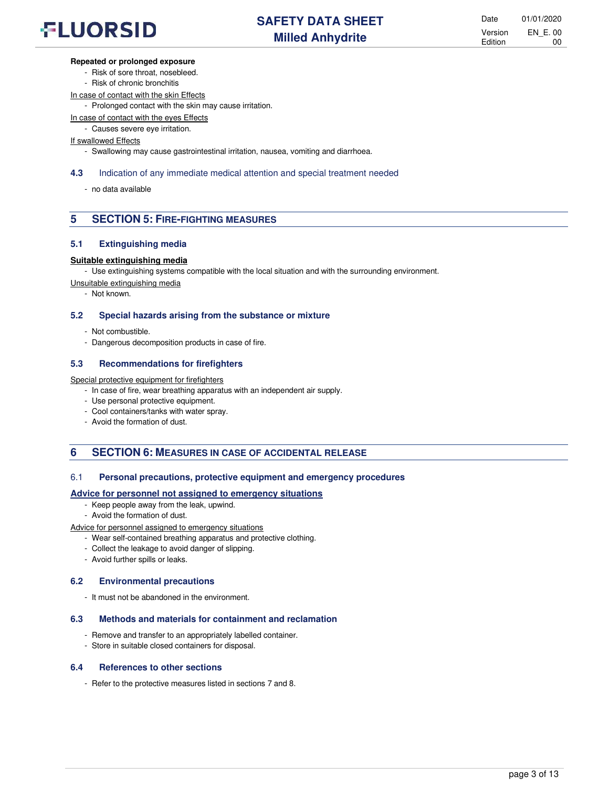## **Repeated or prolonged exposure**

- Risk of sore throat, nosebleed.
- Risk of chronic bronchitis
- In case of contact with the skin Effects
	- Prolonged contact with the skin may cause irritation.

In case of contact with the eyes Effects

- Causes severe eye irritation.

## If swallowed Effects

- Swallowing may cause gastrointestinal irritation, nausea, vomiting and diarrhoea.

## **4.3** Indication of any immediate medical attention and special treatment needed

- no data available

## **5 SECTION 5: FIRE-FIGHTING MEASURES**

## **5.1 Extinguishing media**

## **Suitable extinguishing media**

- Use extinguishing systems compatible with the local situation and with the surrounding environment.

Unsuitable extinguishing media

- Not known.

## **5.2 Special hazards arising from the substance or mixture**

- Not combustible.
- Dangerous decomposition products in case of fire.

## **5.3 Recommendations for firefighters**

Special protective equipment for firefighters

- In case of fire, wear breathing apparatus with an independent air supply.
- Use personal protective equipment.
- Cool containers/tanks with water spray.
- Avoid the formation of dust.

## **6 SECTION 6: MEASURES IN CASE OF ACCIDENTAL RELEASE**

## 6.1 **Personal precautions, protective equipment and emergency procedures**

## **Advice for personnel not assigned to emergency situations**

- Keep people away from the leak, upwind.
- Avoid the formation of dust.

Advice for personnel assigned to emergency situations

- Wear self-contained breathing apparatus and protective clothing.
- Collect the leakage to avoid danger of slipping.
- Avoid further spills or leaks.

## **6.2 Environmental precautions**

- It must not be abandoned in the environment.

## **6.3 Methods and materials for containment and reclamation**

- Remove and transfer to an appropriately labelled container.
- Store in suitable closed containers for disposal.

## **6.4 References to other sections**

- Refer to the protective measures listed in sections 7 and 8.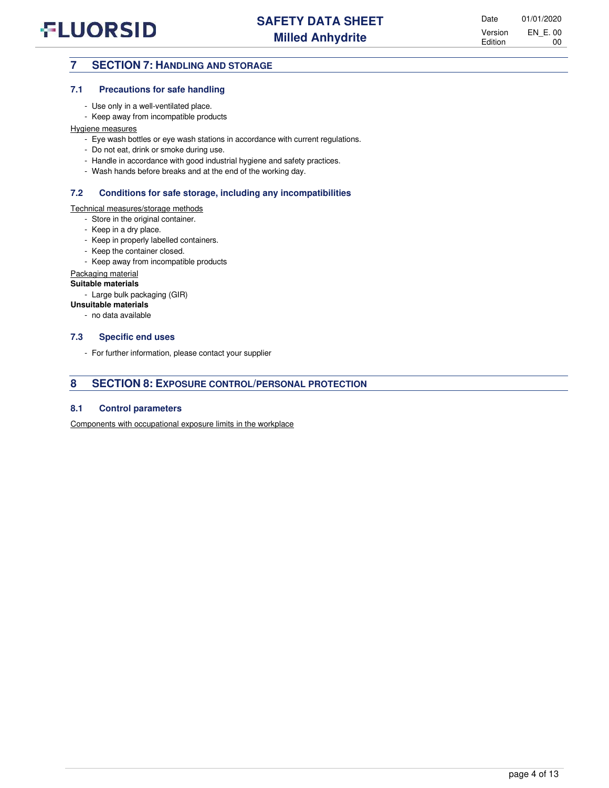## **7 SECTION 7: HANDLING AND STORAGE**

## **7.1 Precautions for safe handling**

- Use only in a well-ventilated place.
- Keep away from incompatible products

## Hygiene measures

- Eye wash bottles or eye wash stations in accordance with current regulations.
- Do not eat, drink or smoke during use.
- Handle in accordance with good industrial hygiene and safety practices.
- Wash hands before breaks and at the end of the working day.

## **7.2 Conditions for safe storage, including any incompatibilities**

## Technical measures/storage methods

- Store in the original container.
- Keep in a dry place.
- Keep in properly labelled containers.
- Keep the container closed.
- Keep away from incompatible products

## Packaging material

## **Suitable materials**

- Large bulk packaging (GIR)

## **Unsuitable materials**

- no data available

### **7.3 Specific end uses**

- For further information, please contact your supplier

## **8 SECTION 8: EXPOSURE CONTROL/PERSONAL PROTECTION**

### **8.1 Control parameters**

Components with occupational exposure limits in the workplace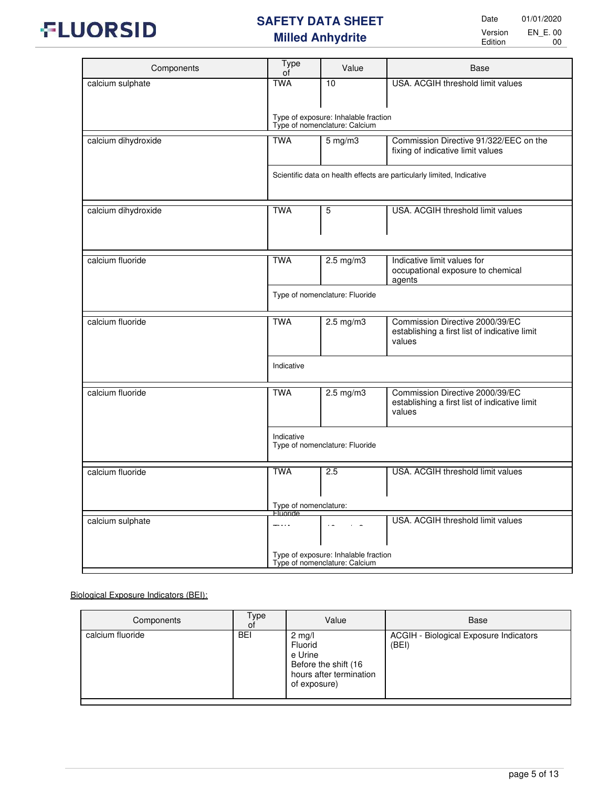

| Components          | <b>Type</b><br>οf                 | Value                                                                 | Base                                                                                       |
|---------------------|-----------------------------------|-----------------------------------------------------------------------|--------------------------------------------------------------------------------------------|
| calcium sulphate    | <b>TWA</b>                        | 10                                                                    | USA. ACGIH threshold limit values                                                          |
|                     |                                   |                                                                       |                                                                                            |
|                     |                                   | Type of exposure: Inhalable fraction<br>Type of nomenclature: Calcium |                                                                                            |
| calcium dihydroxide | <b>TWA</b>                        | $5 \,\mathrm{mg/m}$                                                   | Commission Directive 91/322/EEC on the<br>fixing of indicative limit values                |
|                     |                                   |                                                                       | Scientific data on health effects are particularly limited, Indicative                     |
| calcium dihydroxide | <b>TWA</b>                        | 5                                                                     | USA. ACGIH threshold limit values                                                          |
| calcium fluoride    | <b>TWA</b>                        | $2.5 \text{ mg/m}$                                                    | Indicative limit values for                                                                |
|                     |                                   |                                                                       | occupational exposure to chemical<br>agents                                                |
|                     |                                   | Type of nomenclature: Fluoride                                        |                                                                                            |
| calcium fluoride    | <b>TWA</b>                        | $2.5 \text{ mg/m}$                                                    | Commission Directive 2000/39/EC<br>establishing a first list of indicative limit<br>values |
|                     | Indicative                        |                                                                       |                                                                                            |
| calcium fluoride    | <b>TWA</b>                        | $2.5 \text{ mg/m}$                                                    | Commission Directive 2000/39/EC<br>establishing a first list of indicative limit<br>values |
|                     | Indicative                        | Type of nomenclature: Fluoride                                        |                                                                                            |
| calcium fluoride    | <b>TWA</b>                        | 2.5                                                                   | USA. ACGIH threshold limit values                                                          |
|                     |                                   |                                                                       |                                                                                            |
|                     | Type of nomenclature:<br>Fluoride |                                                                       |                                                                                            |
| calcium sulphate    | ----                              |                                                                       | USA. ACGIH threshold limit values                                                          |
|                     |                                   | Type of exposure: Inhalable fraction<br>Type of nomenclature: Calcium |                                                                                            |

## Biological Exposure Indicators (BEI):

| Components       | Type<br>οf | Value                                                                                             | Base                                            |
|------------------|------------|---------------------------------------------------------------------------------------------------|-------------------------------------------------|
| calcium fluoride | <b>BEI</b> | $2$ mg/l<br>Fluorid<br>e Urine<br>Before the shift (16<br>hours after termination<br>of exposure) | ACGIH - Biological Exposure Indicators<br>(BEI) |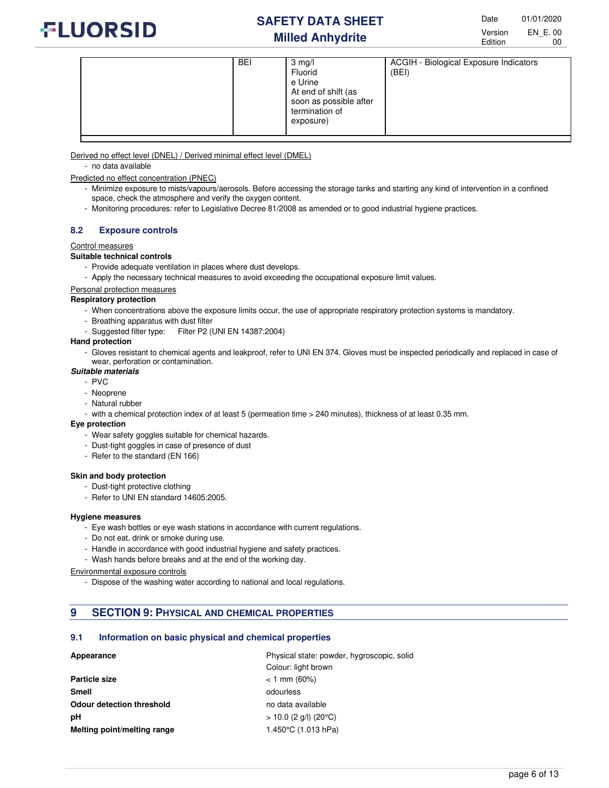

| <b>BEI</b> | $3$ mg/l<br>Fluorid<br>e Urine<br>At end of shift (as<br>soon as possible after<br>termination of<br>exposure) | ACGIH - Biological Exposure Indicators<br>(BEI) |
|------------|----------------------------------------------------------------------------------------------------------------|-------------------------------------------------|
|------------|----------------------------------------------------------------------------------------------------------------|-------------------------------------------------|

Derived no effect level (DNEL) / Derived minimal effect level (DMEL)

- no data available
- Predicted no effect concentration (PNEC)
	- Minimize exposure to mists/vapours/aerosols. Before accessing the storage tanks and starting any kind of intervention in a confined space, check the atmosphere and verify the oxygen content.
	- Monitoring procedures: refer to Legislative Decree 81/2008 as amended or to good industrial hygiene practices.

### **8.2 Exposure controls**

#### Control measures

## **Suitable technical controls**

- Provide adequate ventilation in places where dust develops.
- Apply the necessary technical measures to avoid exceeding the occupational exposure limit values.

#### Personal protection measures

#### **Respiratory protection**

- When concentrations above the exposure limits occur, the use of appropriate respiratory protection systems is mandatory.
- Breathing apparatus with dust filter
- Suggested filter type: Filter P2 (UNI EN 14387:2004)

#### **Hand protection**

- Gloves resistant to chemical agents and leakproof, refer to UNI EN 374. Gloves must be inspected periodically and replaced in case of wear, perforation or contamination.

#### **Suitable materials**

- $-$  PVC
- Neoprene
- Natural rubber
- with a chemical protection index of at least 5 (permeation time > 240 minutes), thickness of at least 0.35 mm.

#### **Eye protection**

- Wear safety goggles suitable for chemical hazards.
- Dust-tight goggles in case of presence of dust
- Refer to the standard (EN 166)

#### **Skin and body protection**

- Dust-tight protective clothing
- Refer to UNI EN standard 14605:2005.

#### **Hygiene measures**

- Eye wash bottles or eye wash stations in accordance with current regulations.
- Do not eat, drink or smoke during use.
- Handle in accordance with good industrial hygiene and safety practices.
- Wash hands before breaks and at the end of the working day.

Environmental exposure controls

- Dispose of the washing water according to national and local regulations.

## **9 SECTION 9: PHYSICAL AND CHEMICAL PROPERTIES**

#### **9.1 Information on basic physical and chemical properties**

## **Appearance** Physical state: powder, hygroscopic, solid

|                                  | 1 11,010a. 01ato: powdor, 11,910000pio, 0011c |
|----------------------------------|-----------------------------------------------|
|                                  | Colour: light brown                           |
| Particle size                    | $<$ 1 mm (60%)                                |
| Smell                            | odourless                                     |
| <b>Odour detection threshold</b> | no data available                             |
| pН                               | $> 10.0$ (2 g/l) (20°C)                       |
| Melting point/melting range      | 1.450 $\degree$ C (1.013 hPa)                 |
|                                  |                                               |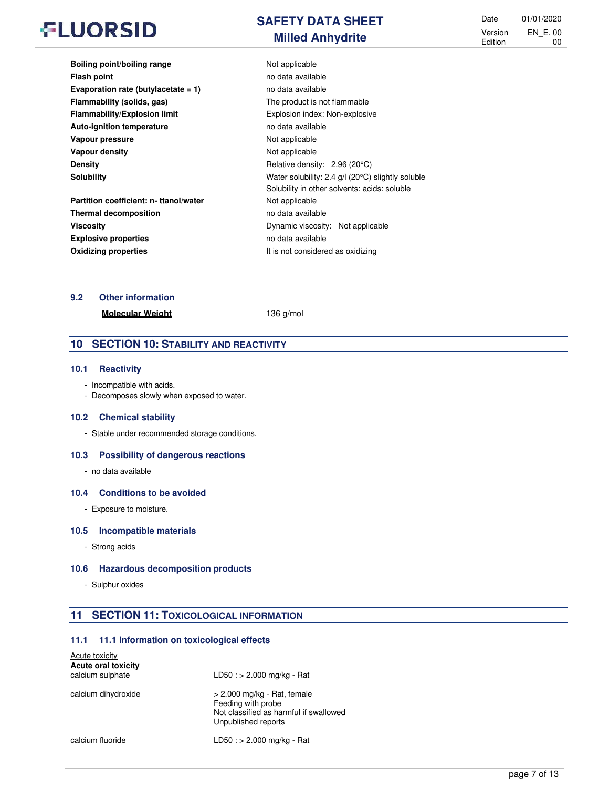| <b>SAFETY DATA SHEET</b> |  |
|--------------------------|--|
| <b>Milled Anhydrite</b>  |  |

Date 01/01/2020 Version Edition EN\_E. 00 00

| Boiling point/boiling range            | Not applicable                                                 |
|----------------------------------------|----------------------------------------------------------------|
| <b>Flash point</b>                     | no data available                                              |
| Evaporation rate (butylacetate $= 1$ ) | no data available                                              |
| Flammability (solids, gas)             | The product is not flammable                                   |
| Flammability/Explosion limit           | Explosion index: Non-explosive                                 |
| <b>Auto-ignition temperature</b>       | no data available                                              |
| Vapour pressure                        | Not applicable                                                 |
| Vapour density                         | Not applicable                                                 |
| <b>Density</b>                         | Relative density: 2.96 (20°C)                                  |
| <b>Solubility</b>                      | Water solubility: 2.4 $g/l$ (20 $^{\circ}$ C) slightly soluble |
|                                        | Solubility in other solvents: acids: soluble                   |
| Partition coefficient: n- ttanol/water | Not applicable                                                 |
| <b>Thermal decomposition</b>           | no data available                                              |
| <b>Viscosity</b>                       | Dynamic viscosity: Not applicable                              |
| <b>Explosive properties</b>            | no data available                                              |
| <b>Oxidizing properties</b>            | It is not considered as oxidizing                              |

## **9.2 Other information**

**Molecular Weight** 136 g/mol

## **10 SECTION 10: STABILITY AND REACTIVITY**

### **10.1 Reactivity**

- Incompatible with acids.
- Decomposes slowly when exposed to water.

#### **10.2 Chemical stability**

- Stable under recommended storage conditions.

#### **10.3 Possibility of dangerous reactions**

- no data available

## **10.4 Conditions to be avoided**

- Exposure to moisture.

### **10.5 Incompatible materials**

- Strong acids

## **10.6 Hazardous decomposition products**

- Sulphur oxides

## **11 SECTION 11: TOXICOLOGICAL INFORMATION**

## **11.1 11.1 Information on toxicological effects**

| Acute toxicity<br><b>Acute oral toxicity</b><br>calcium sulphate | $LD50 : > 2.000$ mg/kg - Rat                                                                                         |
|------------------------------------------------------------------|----------------------------------------------------------------------------------------------------------------------|
| calcium dihydroxide                                              | $> 2.000$ mg/kg - Rat, female<br>Feeding with probe<br>Not classified as harmful if swallowed<br>Unpublished reports |
| calcium fluoride                                                 | $LD50 : > 2.000$ mg/kg - Rat                                                                                         |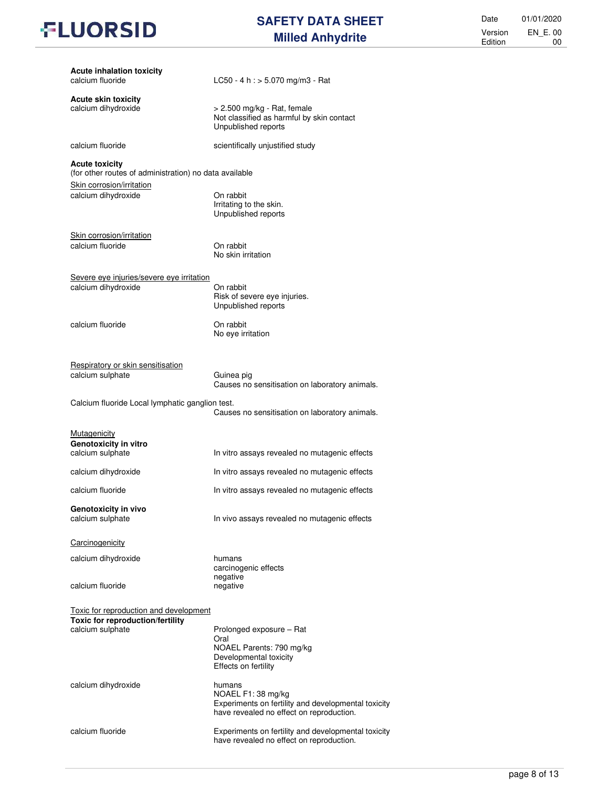## **SAFETY DATA SHEET Milled Anhydrite**

Date 01/01/2020 Version Edition EN\_E. 00 00

| <b>Acute inhalation toxicity</b><br>calcium fluoride                                                         | LC50 - 4 h : $>$ 5.070 mg/m3 - Rat                                                                                              |
|--------------------------------------------------------------------------------------------------------------|---------------------------------------------------------------------------------------------------------------------------------|
| <b>Acute skin toxicity</b><br>calcium dihydroxide                                                            | > 2.500 mg/kg - Rat, female<br>Not classified as harmful by skin contact<br>Unpublished reports                                 |
| calcium fluoride                                                                                             | scientifically unjustified study                                                                                                |
| <b>Acute toxicity</b><br>(for other routes of administration) no data available<br>Skin corrosion/irritation |                                                                                                                                 |
| calcium dihydroxide                                                                                          | On rabbit<br>Irritating to the skin.<br>Unpublished reports                                                                     |
| Skin corrosion/irritation<br>calcium fluoride                                                                | On rabbit<br>No skin irritation                                                                                                 |
| Severe eye injuries/severe eye irritation<br>calcium dihydroxide                                             | On rabbit<br>Risk of severe eye injuries.<br>Unpublished reports                                                                |
| calcium fluoride                                                                                             | On rabbit<br>No eye irritation                                                                                                  |
| Respiratory or skin sensitisation<br>calcium sulphate                                                        | Guinea pig<br>Causes no sensitisation on laboratory animals.                                                                    |
| Calcium fluoride Local lymphatic ganglion test.                                                              | Causes no sensitisation on laboratory animals.                                                                                  |
| <b>Mutagenicity</b><br>Genotoxicity in vitro<br>calcium sulphate                                             | In vitro assays revealed no mutagenic effects                                                                                   |
| calcium dihydroxide                                                                                          | In vitro assays revealed no mutagenic effects                                                                                   |
| calcium fluoride                                                                                             | In vitro assays revealed no mutagenic effects                                                                                   |
| Genotoxicity in vivo<br>calcium sulphate                                                                     | In vivo assays revealed no mutagenic effects                                                                                    |
| Carcinogenicity                                                                                              |                                                                                                                                 |
| calcium dihydroxide                                                                                          | humans<br>carcinogenic effects<br>negative                                                                                      |
| calcium fluoride                                                                                             | negative                                                                                                                        |
| Toxic for reproduction and development<br>Toxic for reproduction/fertility                                   |                                                                                                                                 |
| calcium sulphate                                                                                             | Prolonged exposure - Rat<br>Oral<br>NOAEL Parents: 790 mg/kg<br>Developmental toxicity<br>Effects on fertility                  |
| calcium dihydroxide                                                                                          | humans<br>NOAEL F1: 38 mg/kg<br>Experiments on fertility and developmental toxicity<br>have revealed no effect on reproduction. |
| calcium fluoride                                                                                             | Experiments on fertility and developmental toxicity<br>have revealed no effect on reproduction.                                 |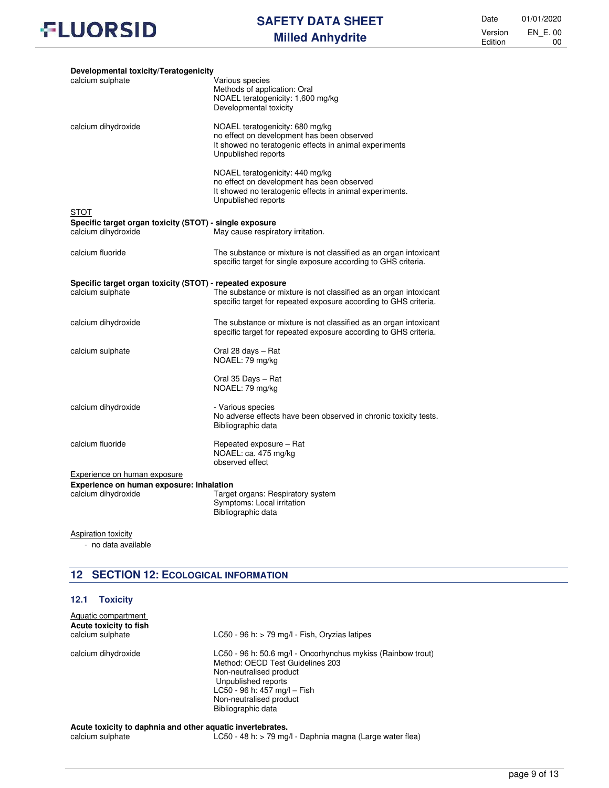

Date 01/01/2020 Version Edition EN\_E. 00 00

| Developmental toxicity/Teratogenicity                                          |                                                                                                                                                                 |
|--------------------------------------------------------------------------------|-----------------------------------------------------------------------------------------------------------------------------------------------------------------|
| calcium sulphate                                                               | Various species<br>Methods of application: Oral<br>NOAEL teratogenicity: 1,600 mg/kg<br>Developmental toxicity                                                  |
| calcium dihydroxide                                                            | NOAEL teratogenicity: 680 mg/kg<br>no effect on development has been observed<br>It showed no teratogenic effects in animal experiments<br>Unpublished reports  |
|                                                                                | NOAEL teratogenicity: 440 mg/kg<br>no effect on development has been observed<br>It showed no teratogenic effects in animal experiments.<br>Unpublished reports |
| <b>STOT</b>                                                                    |                                                                                                                                                                 |
| Specific target organ toxicity (STOT) - single exposure<br>calcium dihydroxide | May cause respiratory irritation.                                                                                                                               |
| calcium fluoride                                                               | The substance or mixture is not classified as an organ intoxicant<br>specific target for single exposure according to GHS criteria.                             |
| Specific target organ toxicity (STOT) - repeated exposure                      |                                                                                                                                                                 |
| calcium sulphate                                                               | The substance or mixture is not classified as an organ intoxicant<br>specific target for repeated exposure according to GHS criteria.                           |
| calcium dihydroxide                                                            | The substance or mixture is not classified as an organ intoxicant<br>specific target for repeated exposure according to GHS criteria.                           |
| calcium sulphate                                                               | Oral 28 days - Rat<br>NOAEL: 79 mg/kg                                                                                                                           |
|                                                                                | Oral 35 Days - Rat<br>NOAEL: 79 mg/kg                                                                                                                           |
| calcium dihydroxide                                                            | - Various species<br>No adverse effects have been observed in chronic toxicity tests.<br>Bibliographic data                                                     |
| calcium fluoride                                                               | Repeated exposure - Rat<br>NOAEL: ca. 475 mg/kg<br>observed effect                                                                                              |
| Experience on human exposure                                                   |                                                                                                                                                                 |
| Experience on human exposure: Inhalation                                       |                                                                                                                                                                 |
| calcium dihydroxide                                                            | Target organs: Respiratory system<br>Symptoms: Local irritation<br>Bibliographic data                                                                           |

**Aspiration toxicity** 

- no data available

## **12 SECTION 12: ECOLOGICAL INFORMATION**

## **12.1 Toxicity**

| Aquatic compartment<br>Acute toxicity to fish<br>calcium sulphate | LC50 - 96 h: $>$ 79 mg/l - Fish, Oryzias latipes                                                                                                                                                                                    |
|-------------------------------------------------------------------|-------------------------------------------------------------------------------------------------------------------------------------------------------------------------------------------------------------------------------------|
| calcium dihydroxide                                               | LC50 - 96 h: 50.6 mg/l - Oncorhynchus mykiss (Rainbow trout)<br>Method: OECD Test Guidelines 203<br>Non-neutralised product<br>Unpublished reports<br>LC50 - 96 h: 457 mg/l - Fish<br>Non-neutralised product<br>Bibliographic data |
| Acute toxicity to daphnia and other aquatic invertebrates.        |                                                                                                                                                                                                                                     |

## calcium sulphate **LC50** - 48 h: > 79 mg/l - Daphnia magna (Large water flea)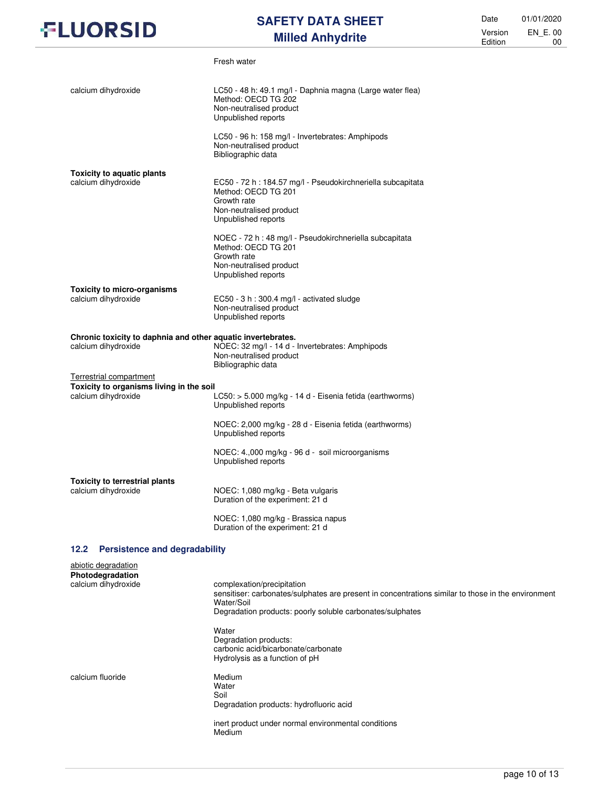## **SAFETY DATA SHEET Milled Anhydrite**

Date 01/01/2020 Version Edition EN\_E. 00 00

|                                                                                     | Fresh water                                                                                                                                         |
|-------------------------------------------------------------------------------------|-----------------------------------------------------------------------------------------------------------------------------------------------------|
| calcium dihydroxide                                                                 | LC50 - 48 h: 49.1 mg/l - Daphnia magna (Large water flea)<br>Method: OECD TG 202<br>Non-neutralised product<br>Unpublished reports                  |
|                                                                                     | LC50 - 96 h: 158 mg/l - Invertebrates: Amphipods<br>Non-neutralised product<br>Bibliographic data                                                   |
| <b>Toxicity to aquatic plants</b><br>calcium dihydroxide                            | EC50 - 72 h : 184.57 mg/l - Pseudokirchneriella subcapitata<br>Method: OECD TG 201<br>Growth rate<br>Non-neutralised product<br>Unpublished reports |
|                                                                                     | NOEC - 72 h : 48 mg/l - Pseudokirchneriella subcapitata<br>Method: OECD TG 201<br>Growth rate<br>Non-neutralised product<br>Unpublished reports     |
| <b>Toxicity to micro-organisms</b><br>calcium dihydroxide                           | EC50 - 3 h : 300.4 mg/l - activated sludge<br>Non-neutralised product<br>Unpublished reports                                                        |
| Chronic toxicity to daphnia and other aquatic invertebrates.<br>calcium dihydroxide | NOEC: 32 mg/l - 14 d - Invertebrates: Amphipods<br>Non-neutralised product<br>Bibliographic data                                                    |
| <b>Terrestrial compartment</b>                                                      |                                                                                                                                                     |
| Toxicity to organisms living in the soil<br>calcium dihydroxide                     | LC50: > 5.000 mg/kg - 14 d - Eisenia fetida (earthworms)<br>Unpublished reports                                                                     |
|                                                                                     | NOEC: 2,000 mg/kg - 28 d - Eisenia fetida (earthworms)<br>Unpublished reports                                                                       |
|                                                                                     | NOEC: 4.,000 mg/kg - 96 d - soil microorganisms<br>Unpublished reports                                                                              |
| <b>Toxicity to terrestrial plants</b><br>calcium dihydroxide                        | NOEC: 1,080 mg/kg - Beta vulgaris<br>Duration of the experiment: 21 d                                                                               |
|                                                                                     | NOEC: 1,080 mg/kg - Brassica napus<br>Duration of the experiment: 21 d                                                                              |
| 12.2<br><b>Persistence and degradability</b>                                        |                                                                                                                                                     |
| abiotic degradation                                                                 |                                                                                                                                                     |

| complexation/precipitation<br>sensitiser: carbonates/sulphates are present in concentrations similar to those in the environment |
|----------------------------------------------------------------------------------------------------------------------------------|
| Water/Soil<br>Degradation products: poorly soluble carbonates/sulphates                                                          |
| Water<br>Degradation products:                                                                                                   |
| carbonic acid/bicarbonate/carbonate<br>Hydrolysis as a function of pH                                                            |
| Medium<br>Water                                                                                                                  |
| Soil                                                                                                                             |
| Degradation products: hydrofluoric acid                                                                                          |
| inert product under normal environmental conditions<br>Medium                                                                    |
|                                                                                                                                  |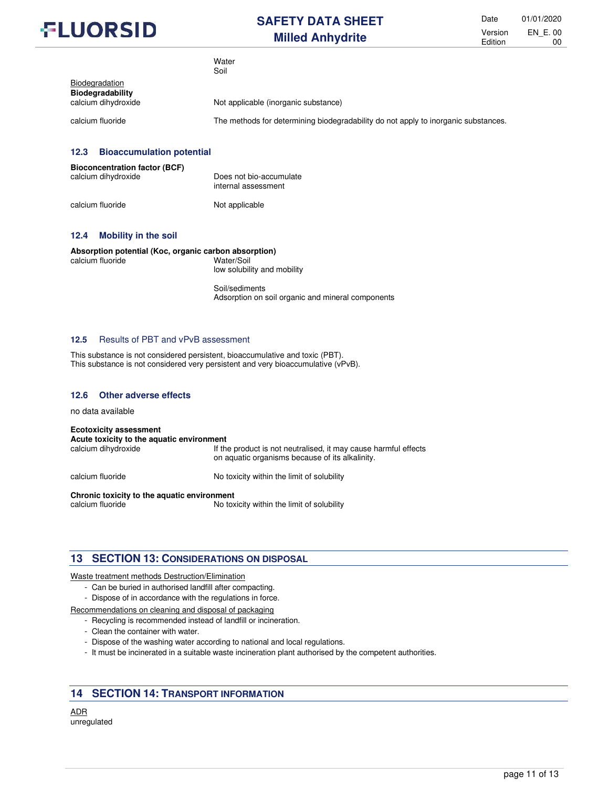

Date 01/01/2020 Version Edition EN\_E. 00 00

|                                           | <b>vv</b> diel<br>Soil                                                             |
|-------------------------------------------|------------------------------------------------------------------------------------|
| <b>Biodegradation</b><br>Biodegradability |                                                                                    |
| calcium dihydroxide                       | Not applicable (inorganic substance)                                               |
| calcium fluoride                          | The methods for determining biodegradability do not apply to inorganic substances. |

### **12.3 Bioaccumulation potential**

| <b>Bioconcentration factor (BCF)</b> | Does not bio-accumulate |
|--------------------------------------|-------------------------|
| calcium dihydroxide                  | internal assessment     |
| calcium fluoride                     | Not applicable          |

Water

#### **12.4 Mobility in the soil**

#### **Absorption potential (Koc, organic carbon absorption)**  calcium fluoride Water/Soil

low solubility and mobility

Soil/sediments Adsorption on soil organic and mineral components

#### **12.5** Results of PBT and vPvB assessment

This substance is not considered persistent, bioaccumulative and toxic (PBT). This substance is not considered very persistent and very bioaccumulative (vPvB).

#### **12.6 Other adverse effects**

no data available

#### **Ecotoxicity assessment**

**Acute toxicity to the aquatic environment**  If the product is not neutralised, it may cause harmful effects on aquatic organisms because of its alkalinity.

calcium fluoride **No toxicity within the limit of solubility** 

**Chronic toxicity to the aquatic environment** 

No toxicity within the limit of solubility

## **13 SECTION 13: CONSIDERATIONS ON DISPOSAL**

#### Waste treatment methods Destruction/Elimination

- Can be buried in authorised landfill after compacting.
- Dispose of in accordance with the regulations in force.

Recommendations on cleaning and disposal of packaging

- Recycling is recommended instead of landfill or incineration.
- Clean the container with water.
- Dispose of the washing water according to national and local regulations.
- It must be incinerated in a suitable waste incineration plant authorised by the competent authorities.

## **14 SECTION 14: TRANSPORT INFORMATION**

ADR unregulated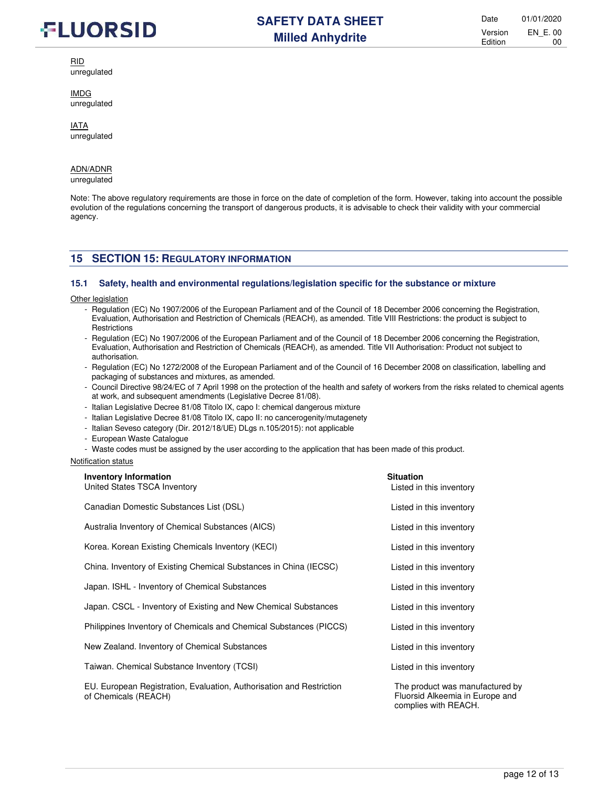

RID

unregulated

IMDG unregulated

IATA unregulated

#### ADN/ADNR

unregulated

Note: The above regulatory requirements are those in force on the date of completion of the form. However, taking into account the possible evolution of the regulations concerning the transport of dangerous products, it is advisable to check their validity with your commercial agency.

## **15 SECTION 15: REGULATORY INFORMATION**

#### **15.1 Safety, health and environmental regulations/legislation specific for the substance or mixture**

**Other legislation** 

- Regulation (EC) No 1907/2006 of the European Parliament and of the Council of 18 December 2006 concerning the Registration, Evaluation, Authorisation and Restriction of Chemicals (REACH), as amended. Title VIII Restrictions: the product is subject to **Restrictions**
- Regulation (EC) No 1907/2006 of the European Parliament and of the Council of 18 December 2006 concerning the Registration, Evaluation, Authorisation and Restriction of Chemicals (REACH), as amended. Title VII Authorisation: Product not subject to authorisation.
- Regulation (EC) No 1272/2008 of the European Parliament and of the Council of 16 December 2008 on classification, labelling and packaging of substances and mixtures, as amended.
- Council Directive 98/24/EC of 7 April 1998 on the protection of the health and safety of workers from the risks related to chemical agents at work, and subsequent amendments (Legislative Decree 81/08).
- Italian Legislative Decree 81/08 Titolo IX, capo I: chemical dangerous mixture
- Italian Legislative Decree 81/08 Titolo IX, capo II: no cancerogenity/mutagenety
- Italian Seveso category (Dir. 2012/18/UE) DLgs n.105/2015): not applicable
- European Waste Catalogue
- Waste codes must be assigned by the user according to the application that has been made of this product.

#### Notification status

| <b>Inventory Information</b><br>United States TSCA Inventory                                 | <b>Situation</b><br>Listed in this inventory                       |
|----------------------------------------------------------------------------------------------|--------------------------------------------------------------------|
|                                                                                              |                                                                    |
| Canadian Domestic Substances List (DSL)                                                      | Listed in this inventory                                           |
| Australia Inventory of Chemical Substances (AICS)                                            | Listed in this inventory                                           |
| Korea. Korean Existing Chemicals Inventory (KECI)                                            | Listed in this inventory                                           |
| China. Inventory of Existing Chemical Substances in China (IECSC)                            | Listed in this inventory                                           |
| Japan. ISHL - Inventory of Chemical Substances                                               | Listed in this inventory                                           |
| Japan. CSCL - Inventory of Existing and New Chemical Substances                              | Listed in this inventory                                           |
| Philippines Inventory of Chemicals and Chemical Substances (PICCS)                           | Listed in this inventory                                           |
| New Zealand. Inventory of Chemical Substances                                                | Listed in this inventory                                           |
| Taiwan. Chemical Substance Inventory (TCSI)                                                  | Listed in this inventory                                           |
| EU. European Registration, Evaluation, Authorisation and Restriction<br>of Chemicals (REACH) | The product was manufactured by<br>Fluorsid Alkeemia in Europe and |

complies with REACH.